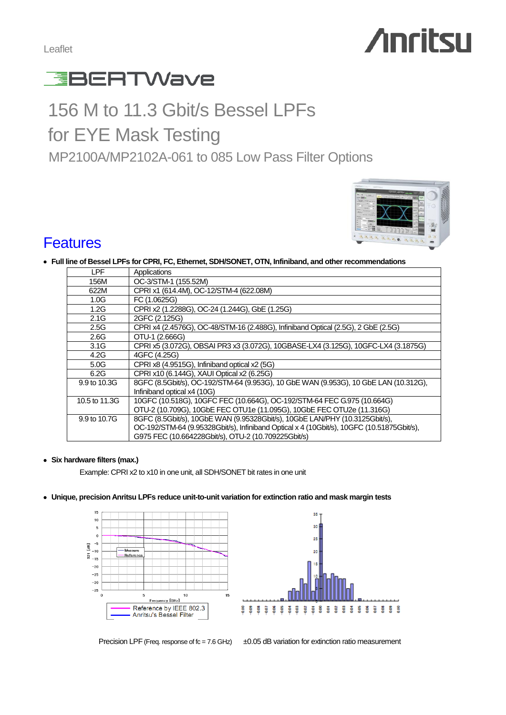Leaflet

# **Anritsu**



# 156 M to 11.3 Gbit/s Bessel LPFs for EYE Mask Testing MP2100A/MP2102A-061 to 085 Low Pass Filter Options



## **Features**

#### **Full line of Bessel LPFs for CPRI, FC, Ethernet, SDH/SONET, OTN, Infiniband, and other recommendations**

| LPF           | Applications                                                                              |
|---------------|-------------------------------------------------------------------------------------------|
| 156M          | OC-3/STM-1 (155.52M)                                                                      |
| 622M          | CPRI x1 (614.4M), OC-12/STM-4 (622.08M)                                                   |
| 1.0G          | FC (1.0625G)                                                                              |
| 1.2G          | CPRI x2 (1.2288G), OC-24 (1.244G), GbE (1.25G)                                            |
| 2.1G          | 2GFC (2.125G)                                                                             |
| 2.5G          | CPRI x4 (2.4576G), OC-48/STM-16 (2.488G), Infiniband Optical (2.5G), 2 GbE (2.5G)         |
| 2.6G          | OTU-1 (2,666G)                                                                            |
| 3.1G          | CPRI x5 (3.072G), OBSAI PR3 x3 (3.072G), 10GBASE-LX4 (3.125G), 10GFC-LX4 (3.1875G)        |
| 4.2G          | 4GFC (4.25G)                                                                              |
| 5.0G          | CPRI x8 (4.9515G), Infiniband optical x2 (5G)                                             |
| 6.2G          | CPRI x10 (6.144G), XAUI Optical x2 (6.25G)                                                |
| 9.9 to 10.3G  | 8GFC (8.5Gbit/s), OC-192/STM-64 (9.953G), 10 GbE WAN (9.953G), 10 GbE LAN (10.312G),      |
|               | Infiniband optical x4 (10G)                                                               |
| 10.5 to 11.3G | 10GFC (10.518G), 10GFC FEC (10.664G), OC-192/STM-64 FEC G.975 (10.664G)                   |
|               | OTU-2 (10.709G), 10GbE FEC OTU1e (11.095G), 10GbE FEC OTU2e (11.316G)                     |
| 9.9 to 10.7G  | 8GFC (8.5Gbit/s), 10GbE WAN (9.95328Gbit/s), 10GbE LAN/PHY (10.3125Gbit/s),               |
|               | OC-192/STM-64 (9.95328Gbit/s), Infiniband Optical x 4 (10Gbit/s), 10GFC (10.51875Gbit/s), |
|               | G975 FEC (10.664228Gbit/s), OTU-2 (10.709225Gbit/s)                                       |

#### **Six hardware filters (max.)**

Example: CPRI x2 to x10 in one unit, all SDH/SONET bit rates in one unit

**Unique, precision Anritsu LPFs reduce unit-to-unit variation for extinction ratio and mask margin tests**





a.

Precision LPF (Freq. response of  $fc = 7.6$  GHz)  $\pm 0.05$  dB variation for extinction ratio measurement